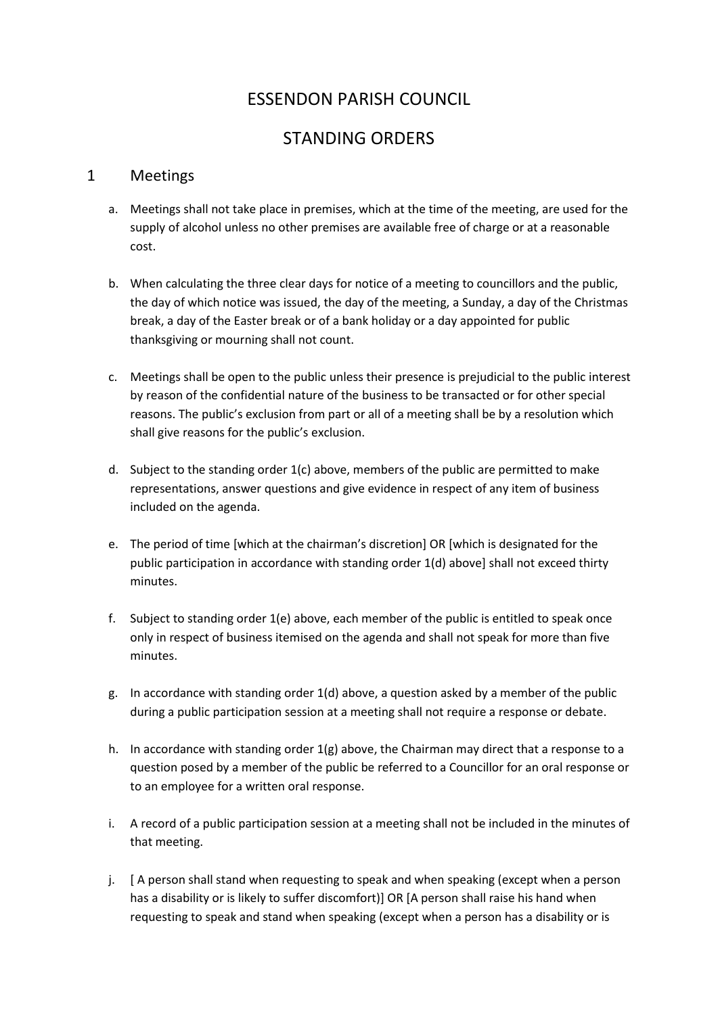# ESSENDON PARISH COUNCIL

# STANDING ORDERS

### 1 Meetings

- a. Meetings shall not take place in premises, which at the time of the meeting, are used for the supply of alcohol unless no other premises are available free of charge or at a reasonable cost.
- b. When calculating the three clear days for notice of a meeting to councillors and the public, the day of which notice was issued, the day of the meeting, a Sunday, a day of the Christmas break, a day of the Easter break or of a bank holiday or a day appointed for public thanksgiving or mourning shall not count.
- c. Meetings shall be open to the public unless their presence is prejudicial to the public interest by reason of the confidential nature of the business to be transacted or for other special reasons. The public's exclusion from part or all of a meeting shall be by a resolution which shall give reasons for the public's exclusion.
- d. Subject to the standing order  $1(c)$  above, members of the public are permitted to make representations, answer questions and give evidence in respect of any item of business included on the agenda.
- e. The period of time [which at the chairman's discretion] OR [which is designated for the public participation in accordance with standing order 1(d) above] shall not exceed thirty minutes.
- f. Subject to standing order 1(e) above, each member of the public is entitled to speak once only in respect of business itemised on the agenda and shall not speak for more than five minutes.
- g. In accordance with standing order 1(d) above, a question asked by a member of the public during a public participation session at a meeting shall not require a response or debate.
- h. In accordance with standing order 1(g) above, the Chairman may direct that a response to a question posed by a member of the public be referred to a Councillor for an oral response or to an employee for a written oral response.
- i. A record of a public participation session at a meeting shall not be included in the minutes of that meeting.
- j. [ A person shall stand when requesting to speak and when speaking (except when a person has a disability or is likely to suffer discomfort)] OR [A person shall raise his hand when requesting to speak and stand when speaking (except when a person has a disability or is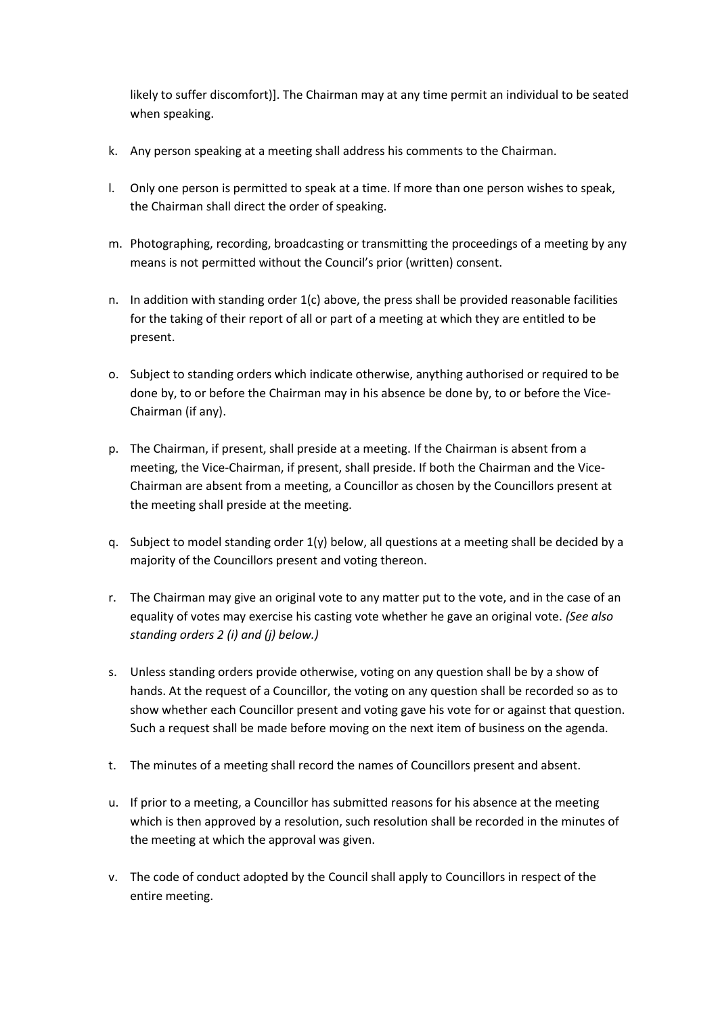likely to suffer discomfort)]. The Chairman may at any time permit an individual to be seated when speaking.

- k. Any person speaking at a meeting shall address his comments to the Chairman.
- l. Only one person is permitted to speak at a time. If more than one person wishes to speak, the Chairman shall direct the order of speaking.
- m. Photographing, recording, broadcasting or transmitting the proceedings of a meeting by any means is not permitted without the Council's prior (written) consent.
- n. In addition with standing order  $1(c)$  above, the press shall be provided reasonable facilities for the taking of their report of all or part of a meeting at which they are entitled to be present.
- o. Subject to standing orders which indicate otherwise, anything authorised or required to be done by, to or before the Chairman may in his absence be done by, to or before the Vice-Chairman (if any).
- p. The Chairman, if present, shall preside at a meeting. If the Chairman is absent from a meeting, the Vice-Chairman, if present, shall preside. If both the Chairman and the Vice-Chairman are absent from a meeting, a Councillor as chosen by the Councillors present at the meeting shall preside at the meeting.
- q. Subject to model standing order  $1(y)$  below, all questions at a meeting shall be decided by a majority of the Councillors present and voting thereon.
- r. The Chairman may give an original vote to any matter put to the vote, and in the case of an equality of votes may exercise his casting vote whether he gave an original vote. *(See also standing orders 2 (i) and (j) below.)*
- s. Unless standing orders provide otherwise, voting on any question shall be by a show of hands. At the request of a Councillor, the voting on any question shall be recorded so as to show whether each Councillor present and voting gave his vote for or against that question. Such a request shall be made before moving on the next item of business on the agenda.
- t. The minutes of a meeting shall record the names of Councillors present and absent.
- u. If prior to a meeting, a Councillor has submitted reasons for his absence at the meeting which is then approved by a resolution, such resolution shall be recorded in the minutes of the meeting at which the approval was given.
- v. The code of conduct adopted by the Council shall apply to Councillors in respect of the entire meeting.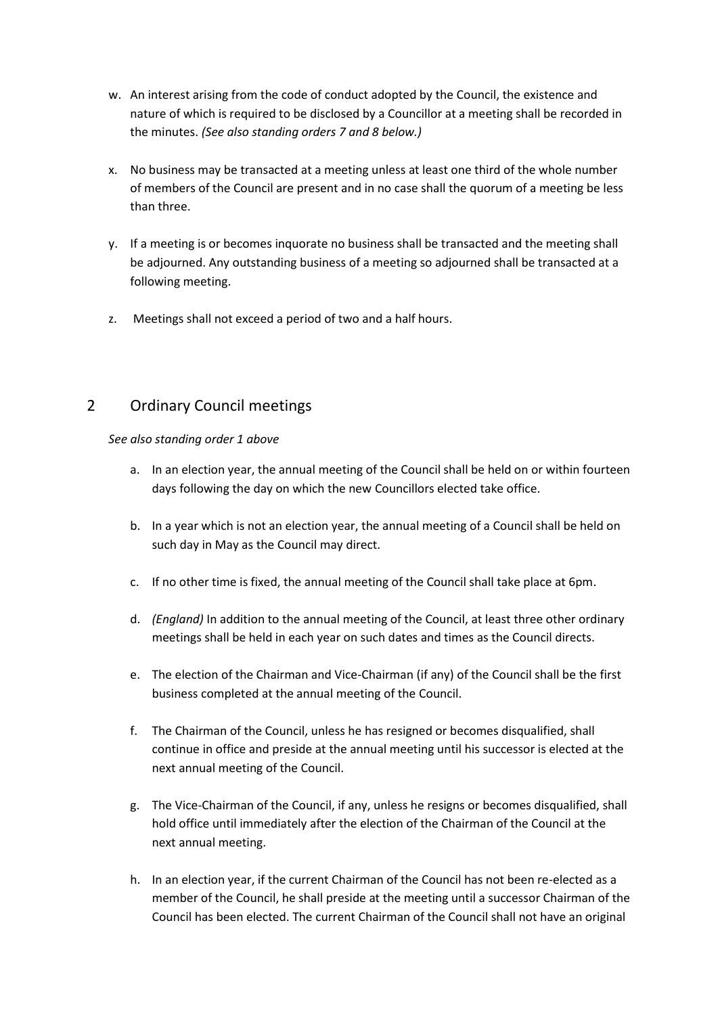- w. An interest arising from the code of conduct adopted by the Council, the existence and nature of which is required to be disclosed by a Councillor at a meeting shall be recorded in the minutes. *(See also standing orders 7 and 8 below.)*
- x. No business may be transacted at a meeting unless at least one third of the whole number of members of the Council are present and in no case shall the quorum of a meeting be less than three.
- y. If a meeting is or becomes inquorate no business shall be transacted and the meeting shall be adjourned. Any outstanding business of a meeting so adjourned shall be transacted at a following meeting.
- z. Meetings shall not exceed a period of two and a half hours.

# 2 Ordinary Council meetings

*See also standing order 1 above*

- a. In an election year, the annual meeting of the Council shall be held on or within fourteen days following the day on which the new Councillors elected take office.
- b. In a year which is not an election year, the annual meeting of a Council shall be held on such day in May as the Council may direct.
- c. If no other time is fixed, the annual meeting of the Council shall take place at 6pm.
- d. *(England)* In addition to the annual meeting of the Council, at least three other ordinary meetings shall be held in each year on such dates and times as the Council directs.
- e. The election of the Chairman and Vice-Chairman (if any) of the Council shall be the first business completed at the annual meeting of the Council.
- f. The Chairman of the Council, unless he has resigned or becomes disqualified, shall continue in office and preside at the annual meeting until his successor is elected at the next annual meeting of the Council.
- g. The Vice-Chairman of the Council, if any, unless he resigns or becomes disqualified, shall hold office until immediately after the election of the Chairman of the Council at the next annual meeting.
- h. In an election year, if the current Chairman of the Council has not been re-elected as a member of the Council, he shall preside at the meeting until a successor Chairman of the Council has been elected. The current Chairman of the Council shall not have an original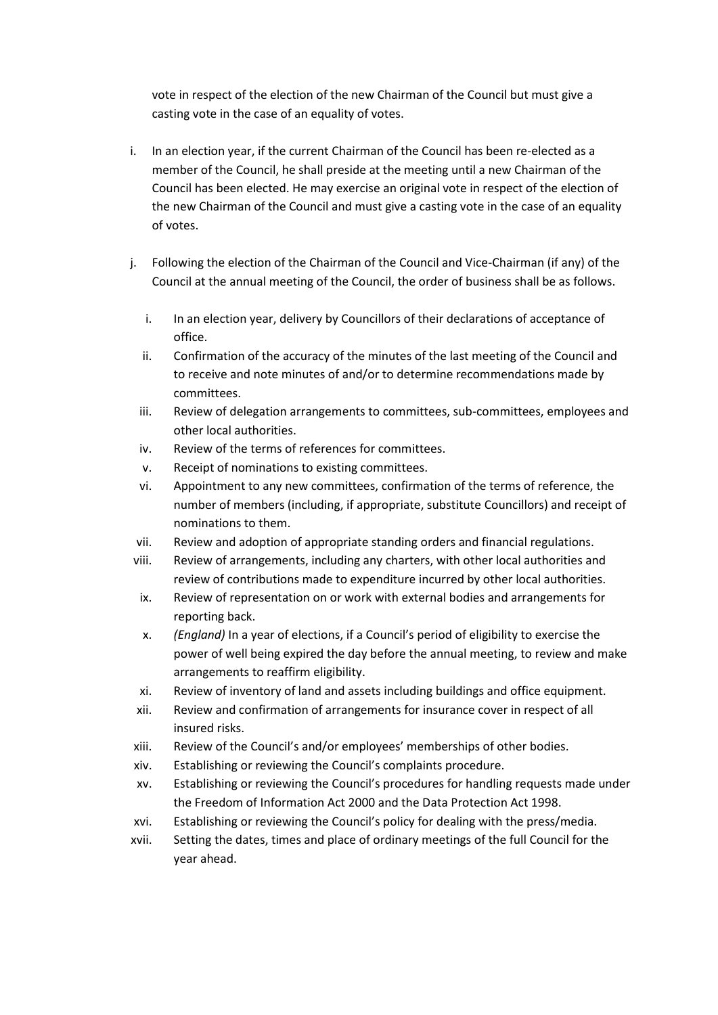vote in respect of the election of the new Chairman of the Council but must give a casting vote in the case of an equality of votes.

- i. In an election year, if the current Chairman of the Council has been re-elected as a member of the Council, he shall preside at the meeting until a new Chairman of the Council has been elected. He may exercise an original vote in respect of the election of the new Chairman of the Council and must give a casting vote in the case of an equality of votes.
- j. Following the election of the Chairman of the Council and Vice-Chairman (if any) of the Council at the annual meeting of the Council, the order of business shall be as follows.
	- i. In an election year, delivery by Councillors of their declarations of acceptance of office.
	- ii. Confirmation of the accuracy of the minutes of the last meeting of the Council and to receive and note minutes of and/or to determine recommendations made by committees.
	- iii. Review of delegation arrangements to committees, sub-committees, employees and other local authorities.
	- iv. Review of the terms of references for committees.
	- v. Receipt of nominations to existing committees.
	- vi. Appointment to any new committees, confirmation of the terms of reference, the number of members (including, if appropriate, substitute Councillors) and receipt of nominations to them.
	- vii. Review and adoption of appropriate standing orders and financial regulations.
- viii. Review of arrangements, including any charters, with other local authorities and review of contributions made to expenditure incurred by other local authorities.
- ix. Review of representation on or work with external bodies and arrangements for reporting back.
- x. *(England)* In a year of elections, if a Council's period of eligibility to exercise the power of well being expired the day before the annual meeting, to review and make arrangements to reaffirm eligibility.
- xi. Review of inventory of land and assets including buildings and office equipment.
- xii. Review and confirmation of arrangements for insurance cover in respect of all insured risks.
- xiii. Review of the Council's and/or employees' memberships of other bodies.
- xiv. Establishing or reviewing the Council's complaints procedure.
- xv. Establishing or reviewing the Council's procedures for handling requests made under the Freedom of Information Act 2000 and the Data Protection Act 1998.
- xvi. Establishing or reviewing the Council's policy for dealing with the press/media.
- xvii. Setting the dates, times and place of ordinary meetings of the full Council for the year ahead.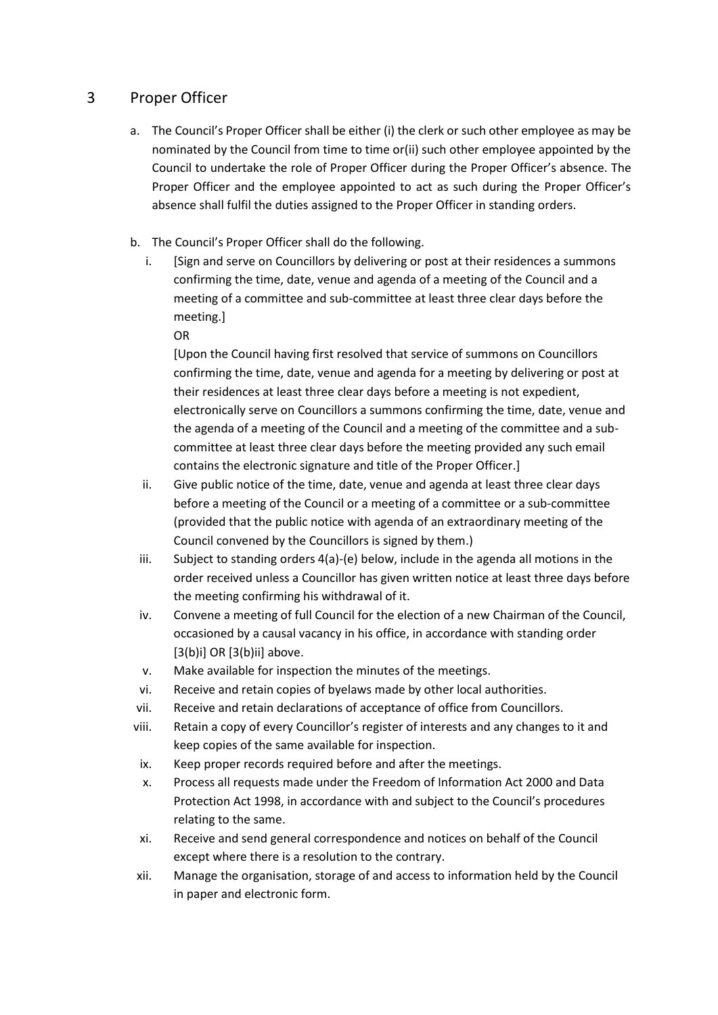# 3 Proper Officer

- a. The Council's Proper Officer shall be either (i) the clerk or such other employee as may be nominated by the Council from time to time or(ii) such other employee appointed by the Council to undertake the role of Proper Officer during the Proper Officer's absence. The Proper Officer and the employee appointed to act as such during the Proper Officer's absence shall fulfil the duties assigned to the Proper Officer in standing orders.
- b. The Council's Proper Officer shall do the following.
	- i. [Sign and serve on Councillors by delivering or post at their residences a summons confirming the time, date, venue and agenda of a meeting of the Council and a meeting of a committee and sub-committee at least three clear days before the meeting.]
		- OR

[Upon the Council having first resolved that service of summons on Councillors confirming the time, date, venue and agenda for a meeting by delivering or post at their residences at least three clear days before a meeting is not expedient, electronically serve on Councillors a summons confirming the time, date, venue and the agenda of a meeting of the Council and a meeting of the committee and a subcommittee at least three clear days before the meeting provided any such email contains the electronic signature and title of the Proper Officer.]

- ii. Give public notice of the time, date, venue and agenda at least three clear days before a meeting of the Council or a meeting of a committee or a sub-committee (provided that the public notice with agenda of an extraordinary meeting of the Council convened by the Councillors is signed by them.)
- iii. Subject to standing orders 4(a)-(e) below, include in the agenda all motions in the order received unless a Councillor has given written notice at least three days before the meeting confirming his withdrawal of it.
- iv. Convene a meeting of full Council for the election of a new Chairman of the Council, occasioned by a causal vacancy in his office, in accordance with standing order [3(b)i] OR [3(b)ii] above.
- v. Make available for inspection the minutes of the meetings.
- vi. Receive and retain copies of byelaws made by other local authorities.
- vii. Receive and retain declarations of acceptance of office from Councillors.
- viii. Retain a copy of every Councillor's register of interests and any changes to it and keep copies of the same available for inspection.
- ix. Keep proper records required before and after the meetings.
- x. Process all requests made under the Freedom of Information Act 2000 and Data Protection Act 1998, in accordance with and subject to the Council's procedures relating to the same.
- xi. Receive and send general correspondence and notices on behalf of the Council except where there is a resolution to the contrary.
- xii. Manage the organisation, storage of and access to information held by the Council in paper and electronic form.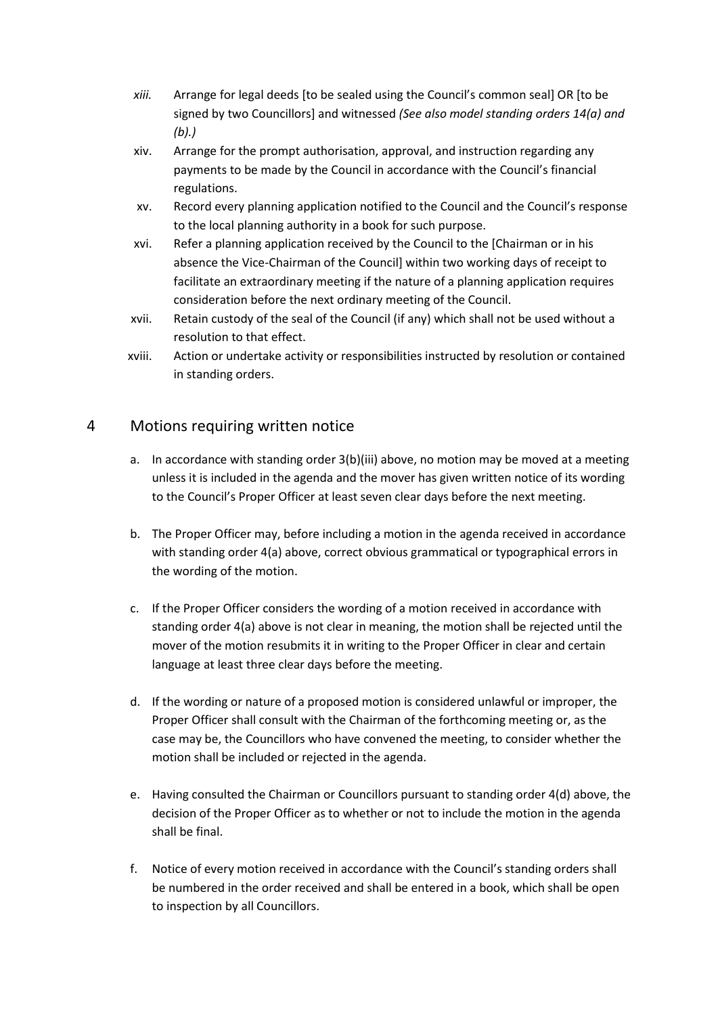- *xiii.* Arrange for legal deeds [to be sealed using the Council's common seal] OR [to be signed by two Councillors] and witnessed *(See also model standing orders 14(a) and (b).)*
- xiv. Arrange for the prompt authorisation, approval, and instruction regarding any payments to be made by the Council in accordance with the Council's financial regulations.
- xv. Record every planning application notified to the Council and the Council's response to the local planning authority in a book for such purpose.
- xvi. Refer a planning application received by the Council to the [Chairman or in his absence the Vice-Chairman of the Council] within two working days of receipt to facilitate an extraordinary meeting if the nature of a planning application requires consideration before the next ordinary meeting of the Council.
- xvii. Retain custody of the seal of the Council (if any) which shall not be used without a resolution to that effect.
- xviii. Action or undertake activity or responsibilities instructed by resolution or contained in standing orders.

# 4 Motions requiring written notice

- a. In accordance with standing order 3(b)(iii) above, no motion may be moved at a meeting unless it is included in the agenda and the mover has given written notice of its wording to the Council's Proper Officer at least seven clear days before the next meeting.
- b. The Proper Officer may, before including a motion in the agenda received in accordance with standing order 4(a) above, correct obvious grammatical or typographical errors in the wording of the motion.
- c. If the Proper Officer considers the wording of a motion received in accordance with standing order 4(a) above is not clear in meaning, the motion shall be rejected until the mover of the motion resubmits it in writing to the Proper Officer in clear and certain language at least three clear days before the meeting.
- d. If the wording or nature of a proposed motion is considered unlawful or improper, the Proper Officer shall consult with the Chairman of the forthcoming meeting or, as the case may be, the Councillors who have convened the meeting, to consider whether the motion shall be included or rejected in the agenda.
- e. Having consulted the Chairman or Councillors pursuant to standing order 4(d) above, the decision of the Proper Officer as to whether or not to include the motion in the agenda shall be final.
- f. Notice of every motion received in accordance with the Council's standing orders shall be numbered in the order received and shall be entered in a book, which shall be open to inspection by all Councillors.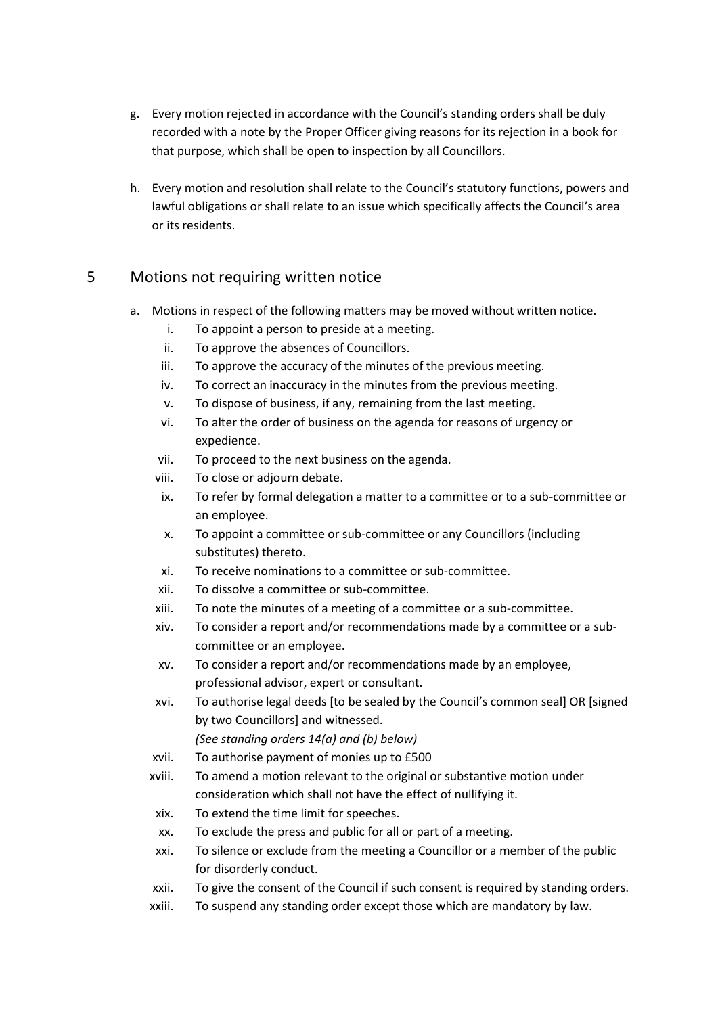- g. Every motion rejected in accordance with the Council's standing orders shall be duly recorded with a note by the Proper Officer giving reasons for its rejection in a book for that purpose, which shall be open to inspection by all Councillors.
- h. Every motion and resolution shall relate to the Council's statutory functions, powers and lawful obligations or shall relate to an issue which specifically affects the Council's area or its residents.

# 5 Motions not requiring written notice

- a. Motions in respect of the following matters may be moved without written notice.
	- i. To appoint a person to preside at a meeting.
	- ii. To approve the absences of Councillors.
	- iii. To approve the accuracy of the minutes of the previous meeting.
	- iv. To correct an inaccuracy in the minutes from the previous meeting.
	- v. To dispose of business, if any, remaining from the last meeting.
	- vi. To alter the order of business on the agenda for reasons of urgency or expedience.
	- vii. To proceed to the next business on the agenda.
	- viii. To close or adjourn debate.
	- ix. To refer by formal delegation a matter to a committee or to a sub-committee or an employee.
	- x. To appoint a committee or sub-committee or any Councillors (including substitutes) thereto.
	- xi. To receive nominations to a committee or sub-committee.
	- xii. To dissolve a committee or sub-committee.
	- xiii. To note the minutes of a meeting of a committee or a sub-committee.
	- xiv. To consider a report and/or recommendations made by a committee or a subcommittee or an employee.
	- xv. To consider a report and/or recommendations made by an employee, professional advisor, expert or consultant.
	- xvi. To authorise legal deeds [to be sealed by the Council's common seal] OR [signed by two Councillors] and witnessed.

*(See standing orders 14(a) and (b) below)*

- xvii. To authorise payment of monies up to £500
- xviii. To amend a motion relevant to the original or substantive motion under consideration which shall not have the effect of nullifying it.
- xix. To extend the time limit for speeches.
- xx. To exclude the press and public for all or part of a meeting.
- xxi. To silence or exclude from the meeting a Councillor or a member of the public for disorderly conduct.
- xxii. To give the consent of the Council if such consent is required by standing orders.
- xxiii. To suspend any standing order except those which are mandatory by law.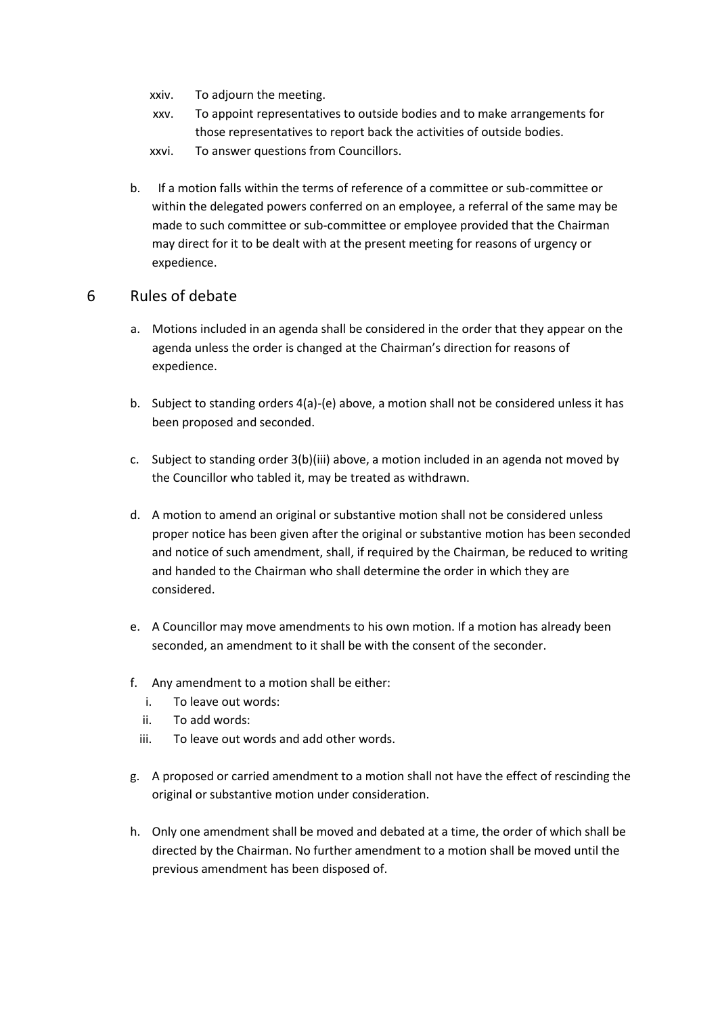- xxiv. To adjourn the meeting.
- xxv. To appoint representatives to outside bodies and to make arrangements for those representatives to report back the activities of outside bodies.
- xxvi. To answer questions from Councillors.
- b. If a motion falls within the terms of reference of a committee or sub-committee or within the delegated powers conferred on an employee, a referral of the same may be made to such committee or sub-committee or employee provided that the Chairman may direct for it to be dealt with at the present meeting for reasons of urgency or expedience.

#### 6 Rules of debate

- a. Motions included in an agenda shall be considered in the order that they appear on the agenda unless the order is changed at the Chairman's direction for reasons of expedience.
- b. Subject to standing orders 4(a)-(e) above, a motion shall not be considered unless it has been proposed and seconded.
- c. Subject to standing order 3(b)(iii) above, a motion included in an agenda not moved by the Councillor who tabled it, may be treated as withdrawn.
- d. A motion to amend an original or substantive motion shall not be considered unless proper notice has been given after the original or substantive motion has been seconded and notice of such amendment, shall, if required by the Chairman, be reduced to writing and handed to the Chairman who shall determine the order in which they are considered.
- e. A Councillor may move amendments to his own motion. If a motion has already been seconded, an amendment to it shall be with the consent of the seconder.
- f. Any amendment to a motion shall be either:
	- i. To leave out words:
	- ii. To add words:
	- iii. To leave out words and add other words.
- g. A proposed or carried amendment to a motion shall not have the effect of rescinding the original or substantive motion under consideration.
- h. Only one amendment shall be moved and debated at a time, the order of which shall be directed by the Chairman. No further amendment to a motion shall be moved until the previous amendment has been disposed of.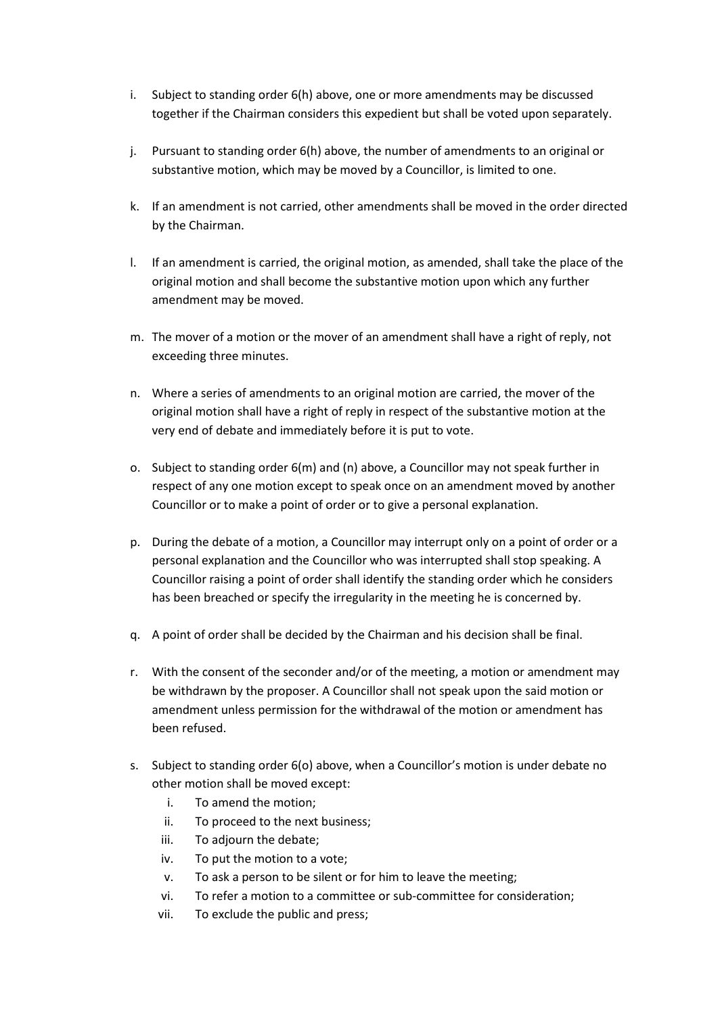- i. Subject to standing order 6(h) above, one or more amendments may be discussed together if the Chairman considers this expedient but shall be voted upon separately.
- j. Pursuant to standing order 6(h) above, the number of amendments to an original or substantive motion, which may be moved by a Councillor, is limited to one.
- k. If an amendment is not carried, other amendments shall be moved in the order directed by the Chairman.
- l. If an amendment is carried, the original motion, as amended, shall take the place of the original motion and shall become the substantive motion upon which any further amendment may be moved.
- m. The mover of a motion or the mover of an amendment shall have a right of reply, not exceeding three minutes.
- n. Where a series of amendments to an original motion are carried, the mover of the original motion shall have a right of reply in respect of the substantive motion at the very end of debate and immediately before it is put to vote.
- o. Subject to standing order 6(m) and (n) above, a Councillor may not speak further in respect of any one motion except to speak once on an amendment moved by another Councillor or to make a point of order or to give a personal explanation.
- p. During the debate of a motion, a Councillor may interrupt only on a point of order or a personal explanation and the Councillor who was interrupted shall stop speaking. A Councillor raising a point of order shall identify the standing order which he considers has been breached or specify the irregularity in the meeting he is concerned by.
- q. A point of order shall be decided by the Chairman and his decision shall be final.
- r. With the consent of the seconder and/or of the meeting, a motion or amendment may be withdrawn by the proposer. A Councillor shall not speak upon the said motion or amendment unless permission for the withdrawal of the motion or amendment has been refused.
- s. Subject to standing order 6(o) above, when a Councillor's motion is under debate no other motion shall be moved except:
	- i. To amend the motion;
	- ii. To proceed to the next business;
	- iii. To adjourn the debate;
	- iv. To put the motion to a vote;
	- v. To ask a person to be silent or for him to leave the meeting;
	- vi. To refer a motion to a committee or sub-committee for consideration;
	- vii. To exclude the public and press;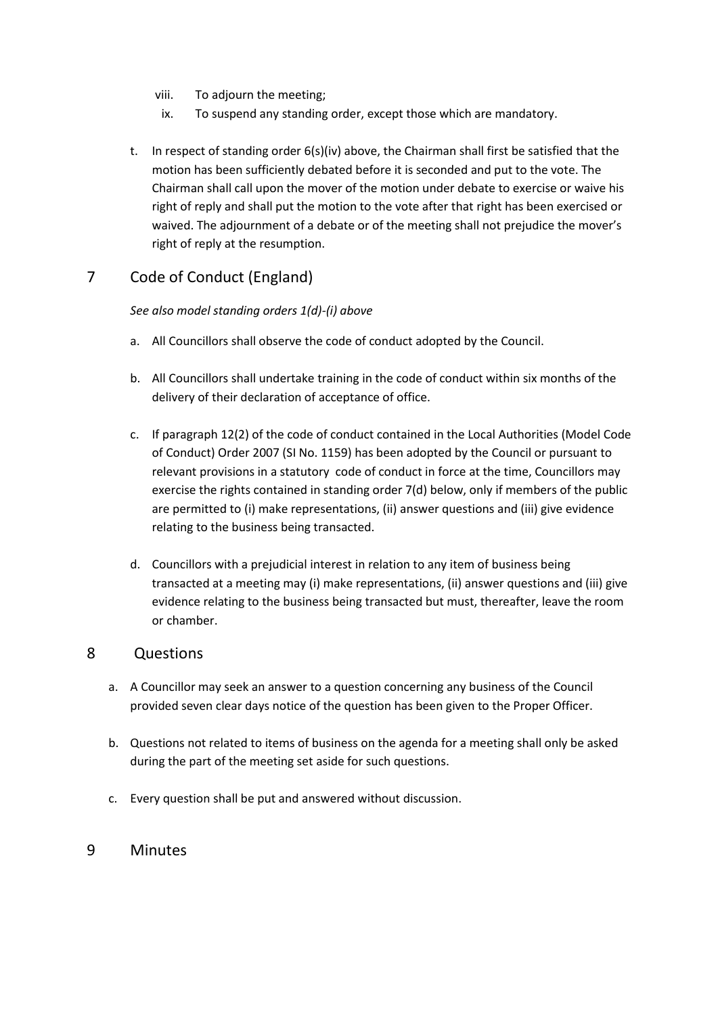- viii. To adjourn the meeting;
- ix. To suspend any standing order, except those which are mandatory.
- t. In respect of standing order 6(s)(iv) above, the Chairman shall first be satisfied that the motion has been sufficiently debated before it is seconded and put to the vote. The Chairman shall call upon the mover of the motion under debate to exercise or waive his right of reply and shall put the motion to the vote after that right has been exercised or waived. The adjournment of a debate or of the meeting shall not prejudice the mover's right of reply at the resumption.

# 7 Code of Conduct (England)

#### *See also model standing orders 1(d)-(i) above*

- a. All Councillors shall observe the code of conduct adopted by the Council.
- b. All Councillors shall undertake training in the code of conduct within six months of the delivery of their declaration of acceptance of office.
- c. If paragraph 12(2) of the code of conduct contained in the Local Authorities (Model Code of Conduct) Order 2007 (SI No. 1159) has been adopted by the Council or pursuant to relevant provisions in a statutory code of conduct in force at the time, Councillors may exercise the rights contained in standing order 7(d) below, only if members of the public are permitted to (i) make representations, (ii) answer questions and (iii) give evidence relating to the business being transacted.
- d. Councillors with a prejudicial interest in relation to any item of business being transacted at a meeting may (i) make representations, (ii) answer questions and (iii) give evidence relating to the business being transacted but must, thereafter, leave the room or chamber.

#### 8 Questions

- a. A Councillor may seek an answer to a question concerning any business of the Council provided seven clear days notice of the question has been given to the Proper Officer.
- b. Questions not related to items of business on the agenda for a meeting shall only be asked during the part of the meeting set aside for such questions.
- c. Every question shall be put and answered without discussion.

### 9 Minutes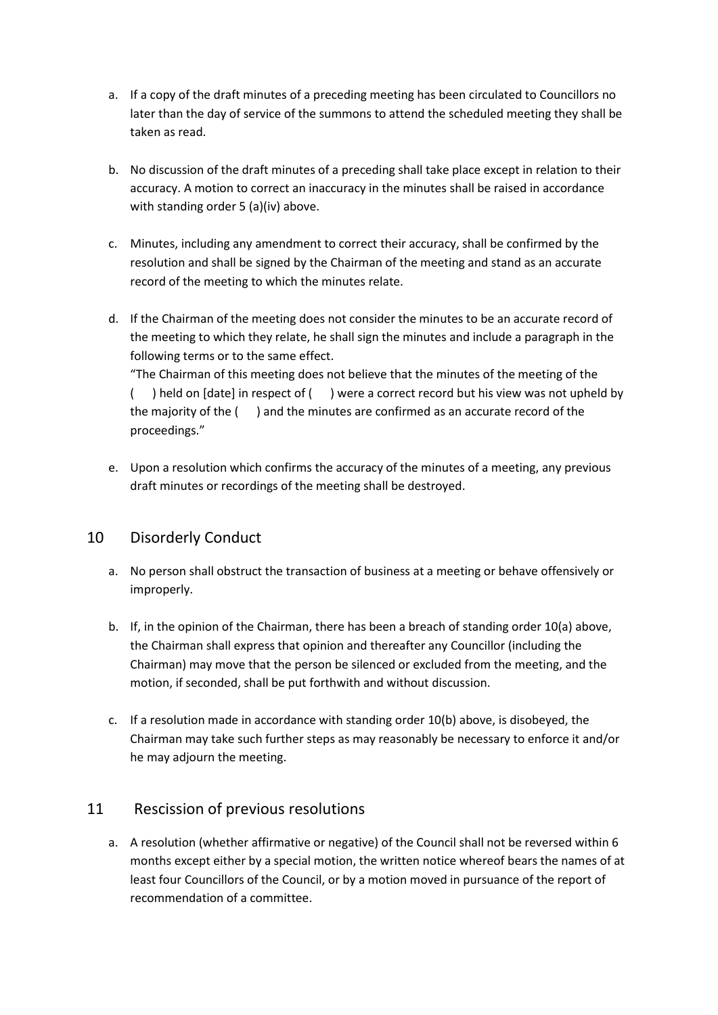- a. If a copy of the draft minutes of a preceding meeting has been circulated to Councillors no later than the day of service of the summons to attend the scheduled meeting they shall be taken as read.
- b. No discussion of the draft minutes of a preceding shall take place except in relation to their accuracy. A motion to correct an inaccuracy in the minutes shall be raised in accordance with standing order 5 (a)(iv) above.
- c. Minutes, including any amendment to correct their accuracy, shall be confirmed by the resolution and shall be signed by the Chairman of the meeting and stand as an accurate record of the meeting to which the minutes relate.
- d. If the Chairman of the meeting does not consider the minutes to be an accurate record of the meeting to which they relate, he shall sign the minutes and include a paragraph in the following terms or to the same effect.

"The Chairman of this meeting does not believe that the minutes of the meeting of the ( ) held on [date] in respect of ( ) were a correct record but his view was not upheld by the majority of the ( ) and the minutes are confirmed as an accurate record of the proceedings."

e. Upon a resolution which confirms the accuracy of the minutes of a meeting, any previous draft minutes or recordings of the meeting shall be destroyed.

# 10 Disorderly Conduct

- a. No person shall obstruct the transaction of business at a meeting or behave offensively or improperly.
- b. If, in the opinion of the Chairman, there has been a breach of standing order 10(a) above, the Chairman shall express that opinion and thereafter any Councillor (including the Chairman) may move that the person be silenced or excluded from the meeting, and the motion, if seconded, shall be put forthwith and without discussion.
- c. If a resolution made in accordance with standing order 10(b) above, is disobeyed, the Chairman may take such further steps as may reasonably be necessary to enforce it and/or he may adjourn the meeting.

# 11 Rescission of previous resolutions

a. A resolution (whether affirmative or negative) of the Council shall not be reversed within 6 months except either by a special motion, the written notice whereof bears the names of at least four Councillors of the Council, or by a motion moved in pursuance of the report of recommendation of a committee.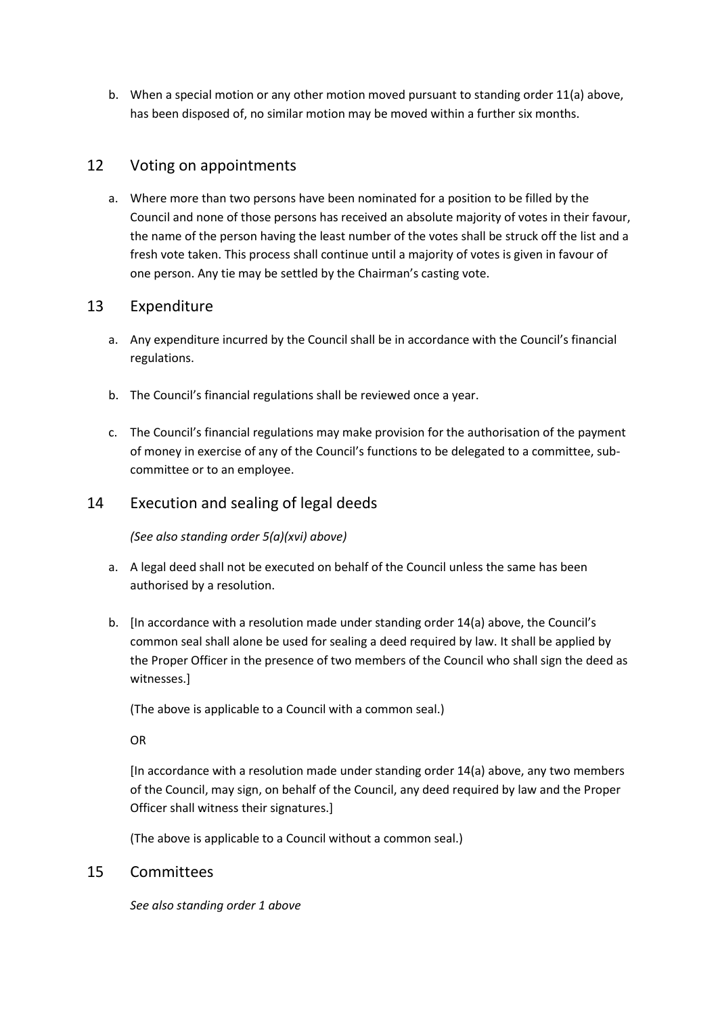b. When a special motion or any other motion moved pursuant to standing order 11(a) above, has been disposed of, no similar motion may be moved within a further six months.

# 12 Voting on appointments

a. Where more than two persons have been nominated for a position to be filled by the Council and none of those persons has received an absolute majority of votes in their favour, the name of the person having the least number of the votes shall be struck off the list and a fresh vote taken. This process shall continue until a majority of votes is given in favour of one person. Any tie may be settled by the Chairman's casting vote.

# 13 Expenditure

- a. Any expenditure incurred by the Council shall be in accordance with the Council's financial regulations.
- b. The Council's financial regulations shall be reviewed once a year.
- c. The Council's financial regulations may make provision for the authorisation of the payment of money in exercise of any of the Council's functions to be delegated to a committee, subcommittee or to an employee.

# 14 Execution and sealing of legal deeds

*(See also standing order 5(a)(xvi) above)*

- a. A legal deed shall not be executed on behalf of the Council unless the same has been authorised by a resolution.
- b. [In accordance with a resolution made under standing order 14(a) above, the Council's common seal shall alone be used for sealing a deed required by law. It shall be applied by the Proper Officer in the presence of two members of the Council who shall sign the deed as witnesses.]

(The above is applicable to a Council with a common seal.)

OR

[In accordance with a resolution made under standing order 14(a) above, any two members of the Council, may sign, on behalf of the Council, any deed required by law and the Proper Officer shall witness their signatures.]

(The above is applicable to a Council without a common seal.)

### 15 Committees

*See also standing order 1 above*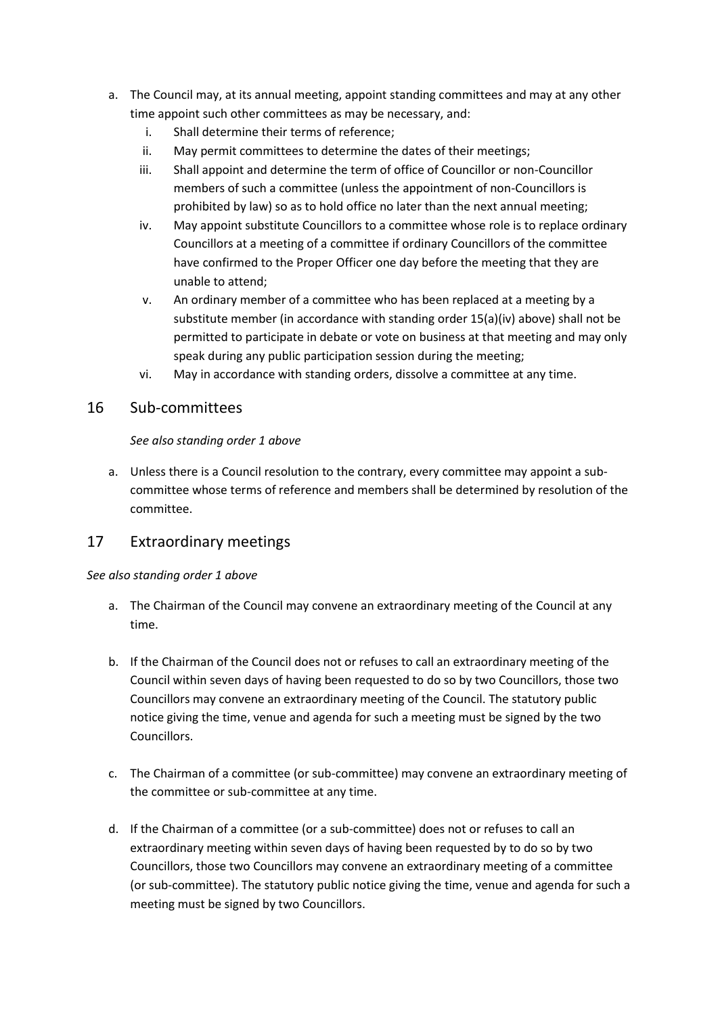- a. The Council may, at its annual meeting, appoint standing committees and may at any other time appoint such other committees as may be necessary, and:
	- i. Shall determine their terms of reference;
	- ii. May permit committees to determine the dates of their meetings;
	- iii. Shall appoint and determine the term of office of Councillor or non-Councillor members of such a committee (unless the appointment of non-Councillors is prohibited by law) so as to hold office no later than the next annual meeting;
	- iv. May appoint substitute Councillors to a committee whose role is to replace ordinary Councillors at a meeting of a committee if ordinary Councillors of the committee have confirmed to the Proper Officer one day before the meeting that they are unable to attend;
	- v. An ordinary member of a committee who has been replaced at a meeting by a substitute member (in accordance with standing order 15(a)(iv) above) shall not be permitted to participate in debate or vote on business at that meeting and may only speak during any public participation session during the meeting;
	- vi. May in accordance with standing orders, dissolve a committee at any time.

### 16 Sub-committees

#### *See also standing order 1 above*

a. Unless there is a Council resolution to the contrary, every committee may appoint a subcommittee whose terms of reference and members shall be determined by resolution of the committee.

# 17 Extraordinary meetings

#### *See also standing order 1 above*

- a. The Chairman of the Council may convene an extraordinary meeting of the Council at any time.
- b. If the Chairman of the Council does not or refuses to call an extraordinary meeting of the Council within seven days of having been requested to do so by two Councillors, those two Councillors may convene an extraordinary meeting of the Council. The statutory public notice giving the time, venue and agenda for such a meeting must be signed by the two Councillors.
- c. The Chairman of a committee (or sub-committee) may convene an extraordinary meeting of the committee or sub-committee at any time.
- d. If the Chairman of a committee (or a sub-committee) does not or refuses to call an extraordinary meeting within seven days of having been requested by to do so by two Councillors, those two Councillors may convene an extraordinary meeting of a committee (or sub-committee). The statutory public notice giving the time, venue and agenda for such a meeting must be signed by two Councillors.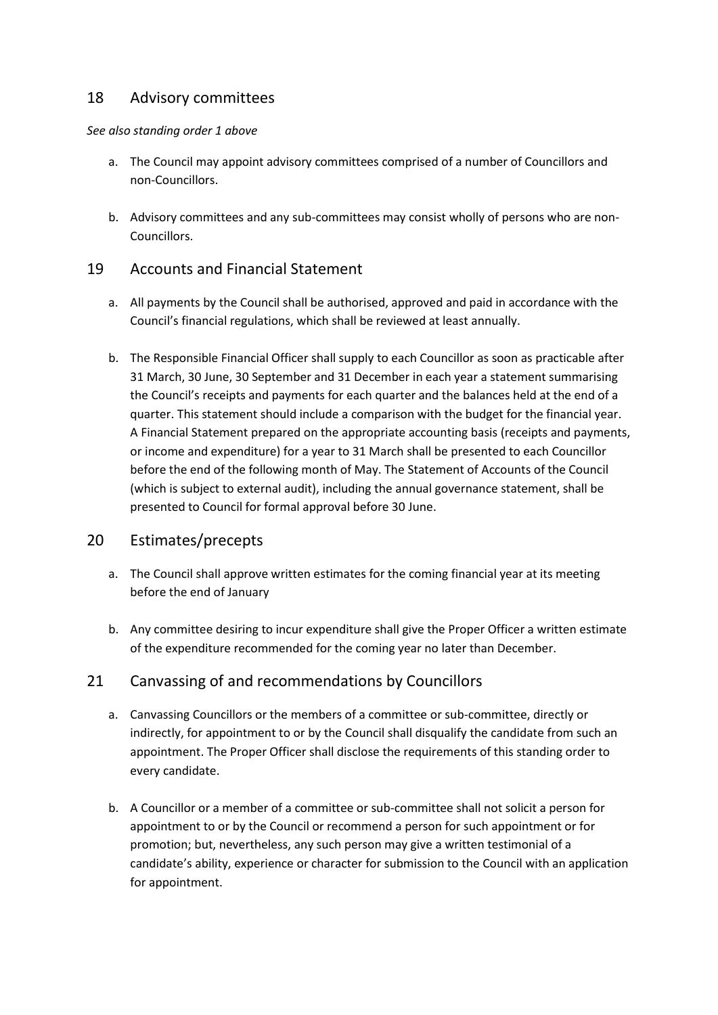# 18 Advisory committees

#### *See also standing order 1 above*

- a. The Council may appoint advisory committees comprised of a number of Councillors and non-Councillors.
- b. Advisory committees and any sub-committees may consist wholly of persons who are non-Councillors.

# 19 Accounts and Financial Statement

- a. All payments by the Council shall be authorised, approved and paid in accordance with the Council's financial regulations, which shall be reviewed at least annually.
- b. The Responsible Financial Officer shall supply to each Councillor as soon as practicable after 31 March, 30 June, 30 September and 31 December in each year a statement summarising the Council's receipts and payments for each quarter and the balances held at the end of a quarter. This statement should include a comparison with the budget for the financial year. A Financial Statement prepared on the appropriate accounting basis (receipts and payments, or income and expenditure) for a year to 31 March shall be presented to each Councillor before the end of the following month of May. The Statement of Accounts of the Council (which is subject to external audit), including the annual governance statement, shall be presented to Council for formal approval before 30 June.

### 20 Estimates/precepts

- a. The Council shall approve written estimates for the coming financial year at its meeting before the end of January
- b. Any committee desiring to incur expenditure shall give the Proper Officer a written estimate of the expenditure recommended for the coming year no later than December.

### 21 Canvassing of and recommendations by Councillors

- a. Canvassing Councillors or the members of a committee or sub-committee, directly or indirectly, for appointment to or by the Council shall disqualify the candidate from such an appointment. The Proper Officer shall disclose the requirements of this standing order to every candidate.
- b. A Councillor or a member of a committee or sub-committee shall not solicit a person for appointment to or by the Council or recommend a person for such appointment or for promotion; but, nevertheless, any such person may give a written testimonial of a candidate's ability, experience or character for submission to the Council with an application for appointment.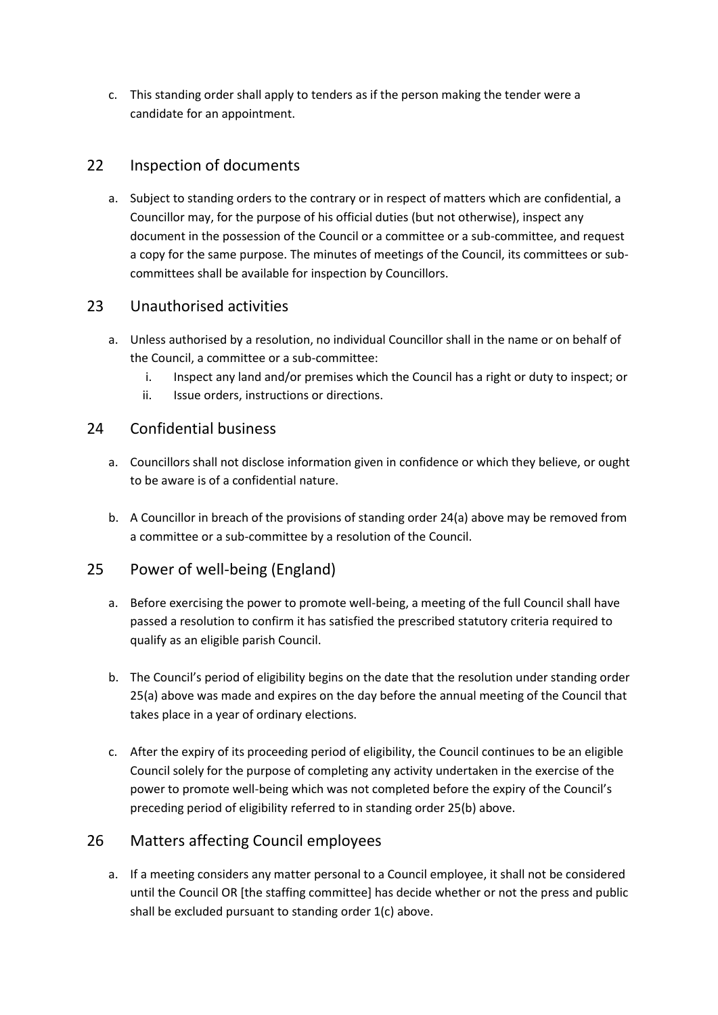c. This standing order shall apply to tenders as if the person making the tender were a candidate for an appointment.

# 22 Inspection of documents

a. Subject to standing orders to the contrary or in respect of matters which are confidential, a Councillor may, for the purpose of his official duties (but not otherwise), inspect any document in the possession of the Council or a committee or a sub-committee, and request a copy for the same purpose. The minutes of meetings of the Council, its committees or subcommittees shall be available for inspection by Councillors.

# 23 Unauthorised activities

- a. Unless authorised by a resolution, no individual Councillor shall in the name or on behalf of the Council, a committee or a sub-committee:
	- i. Inspect any land and/or premises which the Council has a right or duty to inspect; or
	- ii. Issue orders, instructions or directions.

# 24 Confidential business

- a. Councillors shall not disclose information given in confidence or which they believe, or ought to be aware is of a confidential nature.
- b. A Councillor in breach of the provisions of standing order 24(a) above may be removed from a committee or a sub-committee by a resolution of the Council.

# 25 Power of well-being (England)

- a. Before exercising the power to promote well-being, a meeting of the full Council shall have passed a resolution to confirm it has satisfied the prescribed statutory criteria required to qualify as an eligible parish Council.
- b. The Council's period of eligibility begins on the date that the resolution under standing order 25(a) above was made and expires on the day before the annual meeting of the Council that takes place in a year of ordinary elections.
- c. After the expiry of its proceeding period of eligibility, the Council continues to be an eligible Council solely for the purpose of completing any activity undertaken in the exercise of the power to promote well-being which was not completed before the expiry of the Council's preceding period of eligibility referred to in standing order 25(b) above.

# 26 Matters affecting Council employees

a. If a meeting considers any matter personal to a Council employee, it shall not be considered until the Council OR [the staffing committee] has decide whether or not the press and public shall be excluded pursuant to standing order 1(c) above.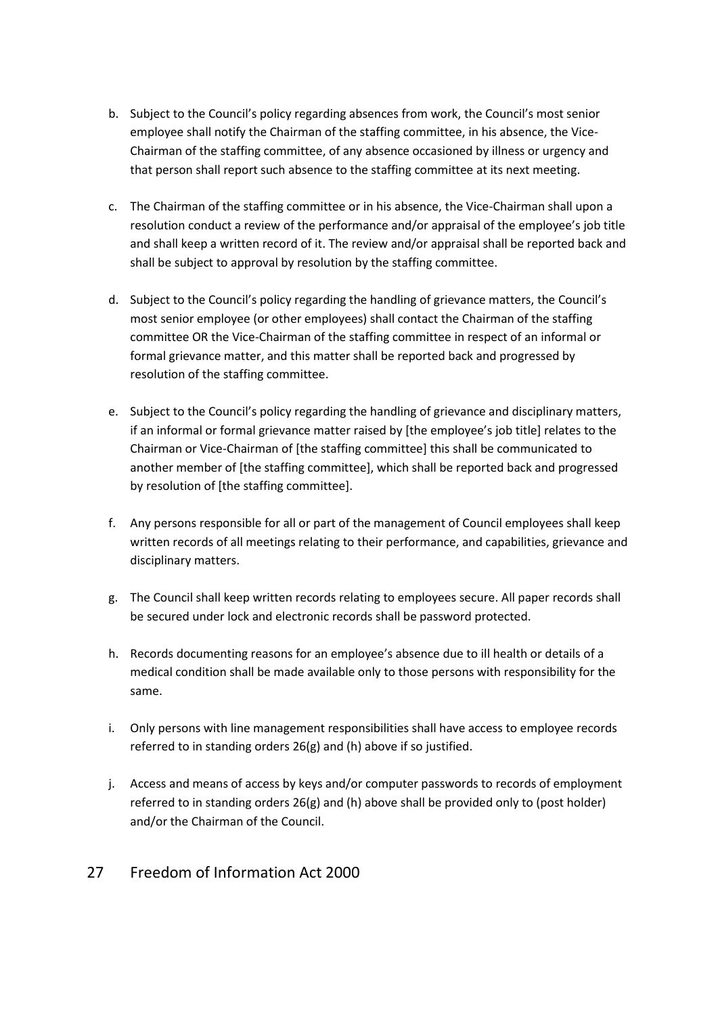- b. Subject to the Council's policy regarding absences from work, the Council's most senior employee shall notify the Chairman of the staffing committee, in his absence, the Vice-Chairman of the staffing committee, of any absence occasioned by illness or urgency and that person shall report such absence to the staffing committee at its next meeting.
- c. The Chairman of the staffing committee or in his absence, the Vice-Chairman shall upon a resolution conduct a review of the performance and/or appraisal of the employee's job title and shall keep a written record of it. The review and/or appraisal shall be reported back and shall be subject to approval by resolution by the staffing committee.
- d. Subject to the Council's policy regarding the handling of grievance matters, the Council's most senior employee (or other employees) shall contact the Chairman of the staffing committee OR the Vice-Chairman of the staffing committee in respect of an informal or formal grievance matter, and this matter shall be reported back and progressed by resolution of the staffing committee.
- e. Subject to the Council's policy regarding the handling of grievance and disciplinary matters, if an informal or formal grievance matter raised by [the employee's job title] relates to the Chairman or Vice-Chairman of [the staffing committee] this shall be communicated to another member of [the staffing committee], which shall be reported back and progressed by resolution of [the staffing committee].
- f. Any persons responsible for all or part of the management of Council employees shall keep written records of all meetings relating to their performance, and capabilities, grievance and disciplinary matters.
- g. The Council shall keep written records relating to employees secure. All paper records shall be secured under lock and electronic records shall be password protected.
- h. Records documenting reasons for an employee's absence due to ill health or details of a medical condition shall be made available only to those persons with responsibility for the same.
- i. Only persons with line management responsibilities shall have access to employee records referred to in standing orders 26(g) and (h) above if so justified.
- j. Access and means of access by keys and/or computer passwords to records of employment referred to in standing orders 26(g) and (h) above shall be provided only to (post holder) and/or the Chairman of the Council.

# 27 Freedom of Information Act 2000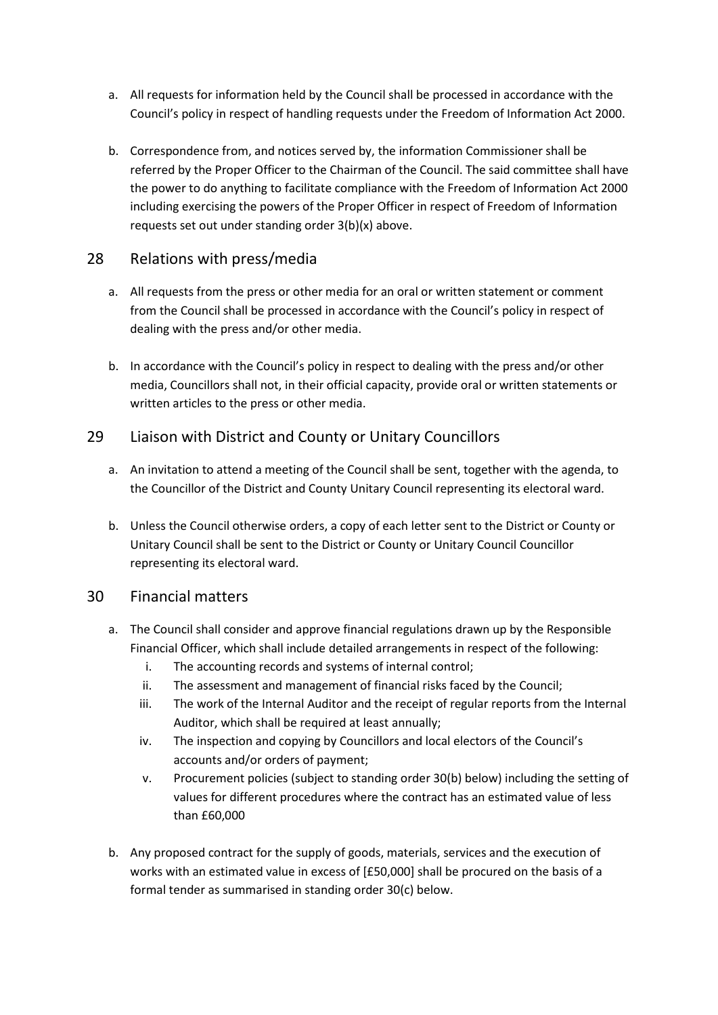- a. All requests for information held by the Council shall be processed in accordance with the Council's policy in respect of handling requests under the Freedom of Information Act 2000.
- b. Correspondence from, and notices served by, the information Commissioner shall be referred by the Proper Officer to the Chairman of the Council. The said committee shall have the power to do anything to facilitate compliance with the Freedom of Information Act 2000 including exercising the powers of the Proper Officer in respect of Freedom of Information requests set out under standing order 3(b)(x) above.

### 28 Relations with press/media

- a. All requests from the press or other media for an oral or written statement or comment from the Council shall be processed in accordance with the Council's policy in respect of dealing with the press and/or other media.
- b. In accordance with the Council's policy in respect to dealing with the press and/or other media, Councillors shall not, in their official capacity, provide oral or written statements or written articles to the press or other media.

# 29 Liaison with District and County or Unitary Councillors

- a. An invitation to attend a meeting of the Council shall be sent, together with the agenda, to the Councillor of the District and County Unitary Council representing its electoral ward.
- b. Unless the Council otherwise orders, a copy of each letter sent to the District or County or Unitary Council shall be sent to the District or County or Unitary Council Councillor representing its electoral ward.

### 30 Financial matters

- a. The Council shall consider and approve financial regulations drawn up by the Responsible Financial Officer, which shall include detailed arrangements in respect of the following:
	- i. The accounting records and systems of internal control;
	- ii. The assessment and management of financial risks faced by the Council;
	- iii. The work of the Internal Auditor and the receipt of regular reports from the Internal Auditor, which shall be required at least annually;
	- iv. The inspection and copying by Councillors and local electors of the Council's accounts and/or orders of payment;
	- v. Procurement policies (subject to standing order 30(b) below) including the setting of values for different procedures where the contract has an estimated value of less than £60,000
- b. Any proposed contract for the supply of goods, materials, services and the execution of works with an estimated value in excess of [£50,000] shall be procured on the basis of a formal tender as summarised in standing order 30(c) below.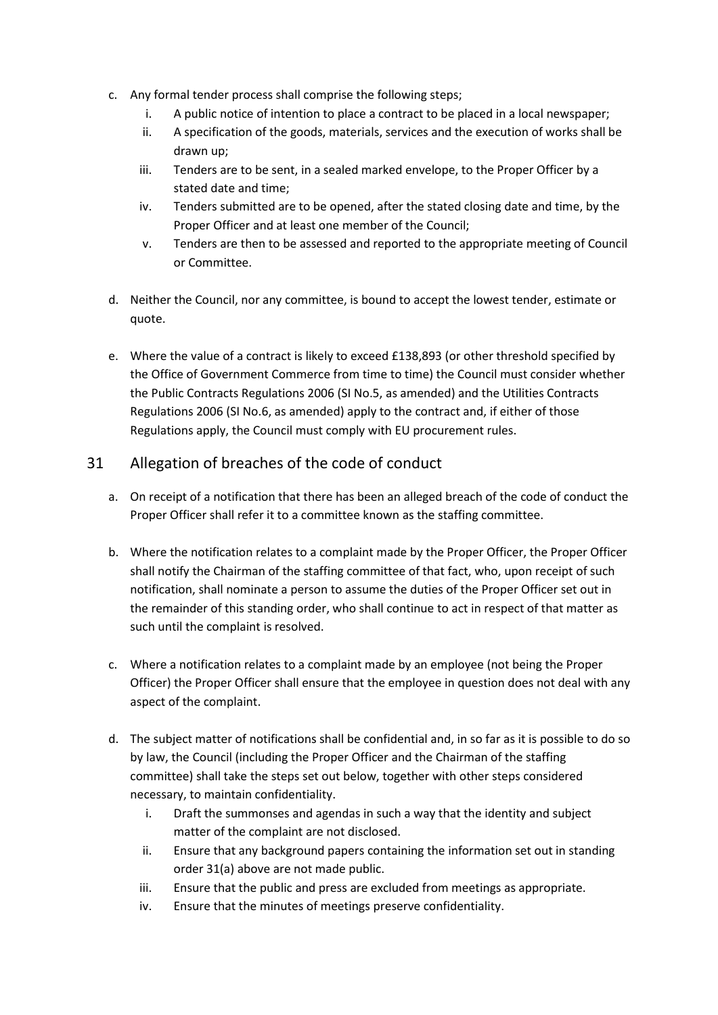- c. Any formal tender process shall comprise the following steps;
	- i. A public notice of intention to place a contract to be placed in a local newspaper;
	- ii. A specification of the goods, materials, services and the execution of works shall be drawn up;
	- iii. Tenders are to be sent, in a sealed marked envelope, to the Proper Officer by a stated date and time;
	- iv. Tenders submitted are to be opened, after the stated closing date and time, by the Proper Officer and at least one member of the Council;
	- v. Tenders are then to be assessed and reported to the appropriate meeting of Council or Committee.
- d. Neither the Council, nor any committee, is bound to accept the lowest tender, estimate or quote.
- e. Where the value of a contract is likely to exceed £138,893 (or other threshold specified by the Office of Government Commerce from time to time) the Council must consider whether the Public Contracts Regulations 2006 (SI No.5, as amended) and the Utilities Contracts Regulations 2006 (SI No.6, as amended) apply to the contract and, if either of those Regulations apply, the Council must comply with EU procurement rules.

# 31 Allegation of breaches of the code of conduct

- a. On receipt of a notification that there has been an alleged breach of the code of conduct the Proper Officer shall refer it to a committee known as the staffing committee.
- b. Where the notification relates to a complaint made by the Proper Officer, the Proper Officer shall notify the Chairman of the staffing committee of that fact, who, upon receipt of such notification, shall nominate a person to assume the duties of the Proper Officer set out in the remainder of this standing order, who shall continue to act in respect of that matter as such until the complaint is resolved.
- c. Where a notification relates to a complaint made by an employee (not being the Proper Officer) the Proper Officer shall ensure that the employee in question does not deal with any aspect of the complaint.
- d. The subject matter of notifications shall be confidential and, in so far as it is possible to do so by law, the Council (including the Proper Officer and the Chairman of the staffing committee) shall take the steps set out below, together with other steps considered necessary, to maintain confidentiality.
	- i. Draft the summonses and agendas in such a way that the identity and subject matter of the complaint are not disclosed.
	- ii. Ensure that any background papers containing the information set out in standing order 31(a) above are not made public.
	- iii. Ensure that the public and press are excluded from meetings as appropriate.
	- iv. Ensure that the minutes of meetings preserve confidentiality.